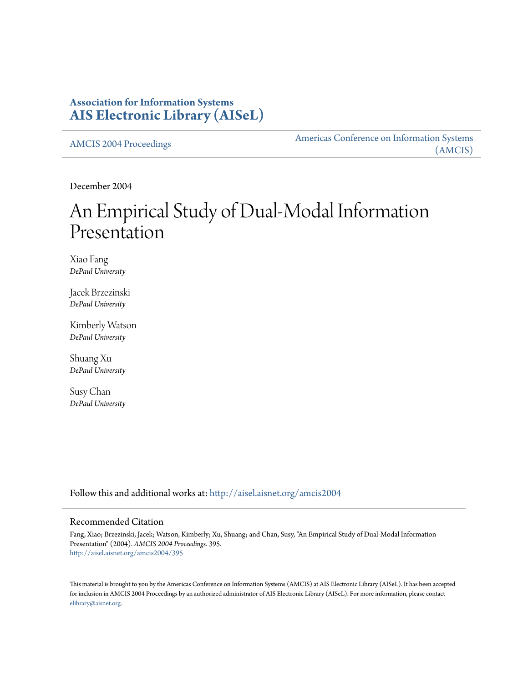### **Association for Information Systems [AIS Electronic Library \(AISeL\)](http://aisel.aisnet.org?utm_source=aisel.aisnet.org%2Famcis2004%2F395&utm_medium=PDF&utm_campaign=PDFCoverPages)**

[AMCIS 2004 Proceedings](http://aisel.aisnet.org/amcis2004?utm_source=aisel.aisnet.org%2Famcis2004%2F395&utm_medium=PDF&utm_campaign=PDFCoverPages)

[Americas Conference on Information Systems](http://aisel.aisnet.org/amcis?utm_source=aisel.aisnet.org%2Famcis2004%2F395&utm_medium=PDF&utm_campaign=PDFCoverPages) [\(AMCIS\)](http://aisel.aisnet.org/amcis?utm_source=aisel.aisnet.org%2Famcis2004%2F395&utm_medium=PDF&utm_campaign=PDFCoverPages)

December 2004

# An Empirical Study of Dual-Modal Information Presentation

Xiao Fang *DePaul University*

Jacek Brzezinski *DePaul University*

Kimberly Watson *DePaul University*

Shuang Xu *DePaul University*

Susy Chan *DePaul University*

Follow this and additional works at: [http://aisel.aisnet.org/amcis2004](http://aisel.aisnet.org/amcis2004?utm_source=aisel.aisnet.org%2Famcis2004%2F395&utm_medium=PDF&utm_campaign=PDFCoverPages)

#### Recommended Citation

Fang, Xiao; Brzezinski, Jacek; Watson, Kimberly; Xu, Shuang; and Chan, Susy, "An Empirical Study of Dual-Modal Information Presentation" (2004). *AMCIS 2004 Proceedings*. 395. [http://aisel.aisnet.org/amcis2004/395](http://aisel.aisnet.org/amcis2004/395?utm_source=aisel.aisnet.org%2Famcis2004%2F395&utm_medium=PDF&utm_campaign=PDFCoverPages)

This material is brought to you by the Americas Conference on Information Systems (AMCIS) at AIS Electronic Library (AISeL). It has been accepted for inclusion in AMCIS 2004 Proceedings by an authorized administrator of AIS Electronic Library (AISeL). For more information, please contact [elibrary@aisnet.org.](mailto:elibrary@aisnet.org%3E)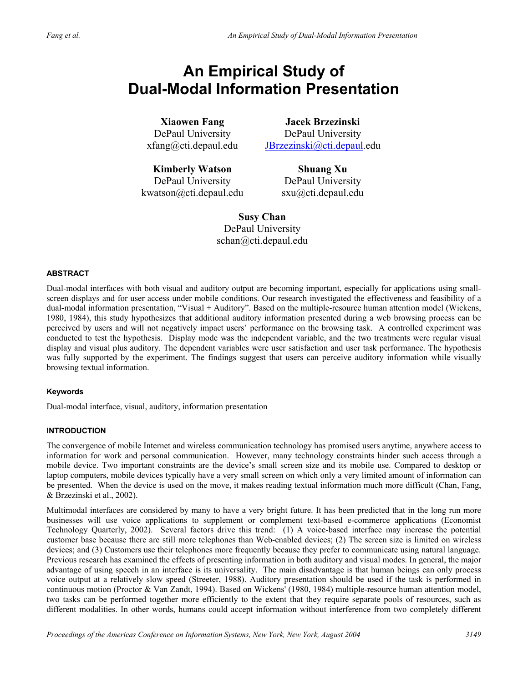## **An Empirical Study of Dual-Modal Information Presentation**

**Xiaowen Fang**  DePaul University xfang@cti.depaul.edu

**Jacek Brzezinski**  DePaul University JBrzezinski@cti.depaul.edu

**Kimberly Watson**  DePaul University kwatson@cti.depaul.edu

**Shuang Xu**  DePaul University sxu@cti.depaul.edu

**Susy Chan**  DePaul University schan@cti.depaul.edu

#### **ABSTRACT**

Dual-modal interfaces with both visual and auditory output are becoming important, especially for applications using smallscreen displays and for user access under mobile conditions. Our research investigated the effectiveness and feasibility of a dual-modal information presentation, "Visual + Auditory". Based on the multiple-resource human attention model (Wickens, 1980, 1984), this study hypothesizes that additional auditory information presented during a web browsing process can be perceived by users and will not negatively impact users' performance on the browsing task. A controlled experiment was conducted to test the hypothesis. Display mode was the independent variable, and the two treatments were regular visual display and visual plus auditory. The dependent variables were user satisfaction and user task performance. The hypothesis was fully supported by the experiment. The findings suggest that users can perceive auditory information while visually browsing textual information.

#### **Keywords**

Dual-modal interface, visual, auditory, information presentation

#### **INTRODUCTION**

The convergence of mobile Internet and wireless communication technology has promised users anytime, anywhere access to information for work and personal communication. However, many technology constraints hinder such access through a mobile device. Two important constraints are the device's small screen size and its mobile use. Compared to desktop or laptop computers, mobile devices typically have a very small screen on which only a very limited amount of information can be presented. When the device is used on the move, it makes reading textual information much more difficult (Chan, Fang, & Brzezinski et al., 2002).

Multimodal interfaces are considered by many to have a very bright future. It has been predicted that in the long run more businesses will use voice applications to supplement or complement text-based e-commerce applications (Economist Technology Quarterly, 2002). Several factors drive this trend: (1) A voice-based interface may increase the potential customer base because there are still more telephones than Web-enabled devices; (2) The screen size is limited on wireless devices; and (3) Customers use their telephones more frequently because they prefer to communicate using natural language. Previous research has examined the effects of presenting information in both auditory and visual modes. In general, the major advantage of using speech in an interface is its universality. The main disadvantage is that human beings can only process voice output at a relatively slow speed (Streeter, 1988). Auditory presentation should be used if the task is performed in continuous motion (Proctor & Van Zandt, 1994). Based on Wickens' (1980, 1984) multiple-resource human attention model, two tasks can be performed together more efficiently to the extent that they require separate pools of resources, such as different modalities. In other words, humans could accept information without interference from two completely different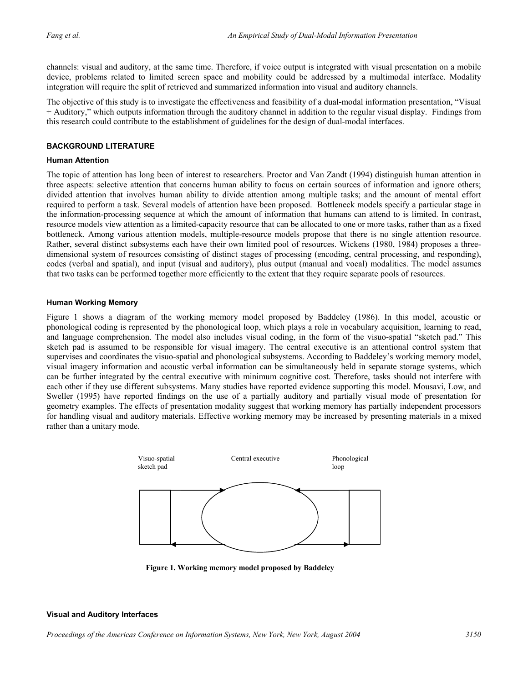channels: visual and auditory, at the same time. Therefore, if voice output is integrated with visual presentation on a mobile device, problems related to limited screen space and mobility could be addressed by a multimodal interface. Modality integration will require the split of retrieved and summarized information into visual and auditory channels.

The objective of this study is to investigate the effectiveness and feasibility of a dual-modal information presentation, "Visual + Auditory," which outputs information through the auditory channel in addition to the regular visual display. Findings from this research could contribute to the establishment of guidelines for the design of dual-modal interfaces.

#### **BACKGROUND LITERATURE**

#### **Human Attention**

The topic of attention has long been of interest to researchers. Proctor and Van Zandt (1994) distinguish human attention in three aspects: selective attention that concerns human ability to focus on certain sources of information and ignore others; divided attention that involves human ability to divide attention among multiple tasks; and the amount of mental effort required to perform a task. Several models of attention have been proposed. Bottleneck models specify a particular stage in the information-processing sequence at which the amount of information that humans can attend to is limited. In contrast, resource models view attention as a limited-capacity resource that can be allocated to one or more tasks, rather than as a fixed bottleneck. Among various attention models, multiple-resource models propose that there is no single attention resource. Rather, several distinct subsystems each have their own limited pool of resources. Wickens (1980, 1984) proposes a threedimensional system of resources consisting of distinct stages of processing (encoding, central processing, and responding), codes (verbal and spatial), and input (visual and auditory), plus output (manual and vocal) modalities. The model assumes that two tasks can be performed together more efficiently to the extent that they require separate pools of resources.

#### **Human Working Memory**

Figure 1 shows a diagram of the working memory model proposed by Baddeley (1986). In this model, acoustic or phonological coding is represented by the phonological loop, which plays a role in vocabulary acquisition, learning to read, and language comprehension. The model also includes visual coding, in the form of the visuo-spatial "sketch pad." This sketch pad is assumed to be responsible for visual imagery. The central executive is an attentional control system that supervises and coordinates the visuo-spatial and phonological subsystems. According to Baddeley's working memory model, visual imagery information and acoustic verbal information can be simultaneously held in separate storage systems, which can be further integrated by the central executive with minimum cognitive cost. Therefore, tasks should not interfere with each other if they use different subsystems. Many studies have reported evidence supporting this model. Mousavi, Low, and Sweller (1995) have reported findings on the use of a partially auditory and partially visual mode of presentation for geometry examples. The effects of presentation modality suggest that working memory has partially independent processors for handling visual and auditory materials. Effective working memory may be increased by presenting materials in a mixed rather than a unitary mode.



**Figure 1. Working memory model proposed by Baddeley**

#### **Visual and Auditory Interfaces**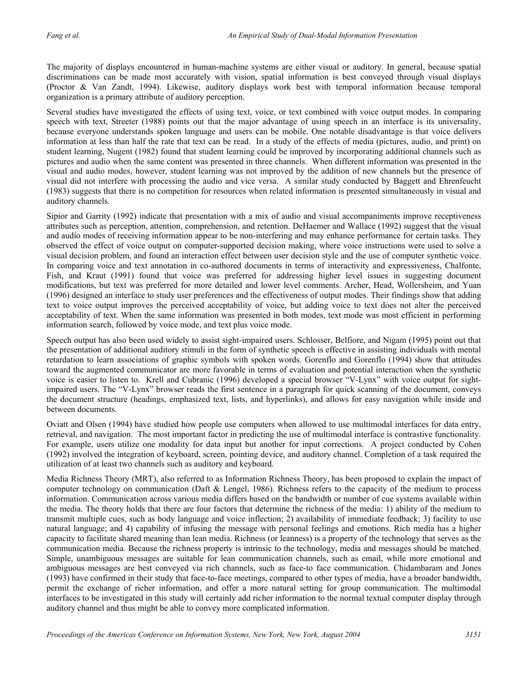The majority of displays encountered in human-machine systems are either visual or auditory. In general, because spatial discriminations can be made most accurately with vision, spatial information is best conveyed through visual displays (Proctor & Van Zandt, 1994). Likewise, auditory displays work best with temporal information because temporal organization is a primary attribute of auditory perception.

Several studies have investigated the effects of using text, voice, or text combined with voice output modes. In comparing speech with text, Streeter (1988) points out that the major advantage of using speech in an interface is its universality, because everyone understands spoken language and users can be mobile. One notable disadvantage is that voice delivers information at less than half the rate that text can be read. In a study of the effects of media (pictures, audio, and print) on student learning, Nugent (1982) found that student learning could be improved by incorporating additional channels such as pictures and audio when the same content was presented in three channels. When different information was presented in the visual and audio modes, however, student learning was not improved by the addition of new channels but the presence of visual did not interfere with processing the audio and vice versa. A similar study conducted by Baggett and Ehrenfeucht (1983) suggests that there is no competition for resources when related information is presented simultaneously in visual and auditory channels.

Sipior and Garrity (1992) indicate that presentation with a mix of audio and visual accompaniments improve receptiveness attributes such as perception, attention, comprehension, and retention. DeHaemer and Wallace (1992) suggest that the visual and audio modes of receiving information appear to be non-interfering and may enhance performance for certain tasks. They observed the effect of voice output on computer-supported decision making, where voice instructions were used to solve a visual decision problem, and found an interaction effect between user decision style and the use of computer synthetic voice. In comparing voice and text annotation in co-authored documents in terms of interactivity and expressiveness, Chalfonte, Fish, and Kraut (1991) found that voice was preferred for addressing higher level issues in suggesting document modifications, but text was preferred for more detailed and lower level comments. Archer, Head, Wollersheim, and Yuan (1996) designed an interface to study user preferences and the effectiveness of output modes. Their findings show that adding text to voice output improves the perceived acceptability of voice, but adding voice to text does not alter the perceived acceptability of text. When the same information was presented in both modes, text mode was most efficient in performing information search, followed by voice mode, and text plus voice mode.

Speech output has also been used widely to assist sight-impaired users. Schlosser, Belfiore, and Nigam (1995) point out that the presentation of additional auditory stimuli in the form of synthetic speech is effective in assisting individuals with mental retardation to learn associations of graphic symbols with spoken words. Gorenflo and Gorenflo (1994) show that attitudes toward the augmented communicator are more favorable in terms of evaluation and potential interaction when the synthetic voice is easier to listen to. Krell and Cubranic (1996) developed a special browser "V-Lynx" with voice output for sightimpaired users. The "V-Lynx" browser reads the first sentence in a paragraph for quick scanning of the document, conveys the document structure (headings, emphasized text, lists, and hyperlinks), and allows for easy navigation while inside and between documents.

Oviatt and Olsen (1994) have studied how people use computers when allowed to use multimodal interfaces for data entry, retrieval, and navigation. The most important factor in predicting the use of multimodal interface is contrastive functionality. For example, users utilize one modality for data input but another for input corrections. A project conducted by Cohen (1992) involved the integration of keyboard, screen, pointing device, and auditory channel. Completion of a task required the utilization of at least two channels such as auditory and keyboard.

Media Richness Theory (MRT), also referred to as Information Richness Theory, has been proposed to explain the impact of computer technology on communication (Daft & Lengel, 1986). Richness refers to the capacity of the medium to process information. Communication across various media differs based on the bandwidth or number of cue systems available within the media. The theory holds that there are four factors that determine the richness of the media: 1) ability of the medium to transmit multiple cues, such as body language and voice inflection; 2) availability of immediate feedback; 3) facility to use natural language; and 4) capability of infusing the message with personal feelings and emotions. Rich media has a higher capacity to facilitate shared meaning than lean media. Richness (or leanness) is a property of the technology that serves as the communication media. Because the richness property is intrinsic to the technology, media and messages should be matched. Simple, unambiguous messages are suitable for lean communication channels, such as email, while more emotional and ambiguous messages are best conveyed via rich channels, such as face-to face communication. Chidambaram and Jones (1993) have confirmed in their study that face-to-face meetings, compared to other types of media, have a broader bandwidth, permit the exchange of richer information, and offer a more natural setting for group communication. The multimodal interfaces to be investigated in this study will certainly add richer information to the normal textual computer display through auditory channel and thus might be able to convey more complicated information.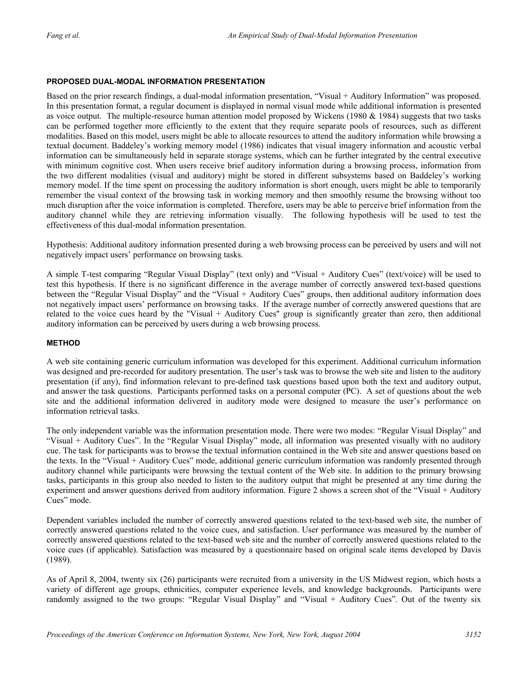#### **PROPOSED DUAL-MODAL INFORMATION PRESENTATION**

Based on the prior research findings, a dual-modal information presentation, "Visual + Auditory Information" was proposed. In this presentation format, a regular document is displayed in normal visual mode while additional information is presented as voice output. The multiple-resource human attention model proposed by Wickens (1980  $&$  1984) suggests that two tasks can be performed together more efficiently to the extent that they require separate pools of resources, such as different modalities. Based on this model, users might be able to allocate resources to attend the auditory information while browsing a textual document. Baddeley's working memory model (1986) indicates that visual imagery information and acoustic verbal information can be simultaneously held in separate storage systems, which can be further integrated by the central executive with minimum cognitive cost. When users receive brief auditory information during a browsing process, information from the two different modalities (visual and auditory) might be stored in different subsystems based on Baddeley's working memory model. If the time spent on processing the auditory information is short enough, users might be able to temporarily remember the visual context of the browsing task in working memory and then smoothly resume the browsing without too much disruption after the voice information is completed. Therefore, users may be able to perceive brief information from the auditory channel while they are retrieving information visually. The following hypothesis will be used to test the effectiveness of this dual-modal information presentation.

Hypothesis: Additional auditory information presented during a web browsing process can be perceived by users and will not negatively impact users' performance on browsing tasks.

test this hypothesis. If there is no significant difference in the average number of correctly answered text-based questions A simple T-test comparing "Regular Visual Display" (text only) and "Visual + Auditory Cues" (text/voice) will be used to between the "Regular Visual Display" and the "Visual + Auditory Cues" groups, then additional auditory information does not negatively impact users' performance on browsing tasks. If the average number of correctly answered questions that are related to the voice cues heard by the "Visual + Auditory Cues" group is significantly greater than zero, then additional auditory information can be perceived by users during a web browsing process.

#### **METHOD**

A web site containing generic curriculum information was developed for this experiment. Additional curriculum information was designed and pre-recorded for auditory presentation. The user's task was to browse the web site and listen to the auditory presentation (if any), find information relevant to pre-defined task questions based upon both the text and auditory output, and answer the task questions. Participants performed tasks on a personal computer (PC). A set of questions about the web site and the additional information delivered in auditory mode were designed to measure the user's performance on information retrieval tasks.

"Visual + Auditory Cues". In the "Regular Visual Display" mode, all information was presented visually with no auditory The only independent variable was the information presentation mode. There were two modes: "Regular Visual Display" and cue. The task for participants was to browse the textual information contained in the Web site and answer questions based on the texts. In the "Visual + Auditory Cues" mode, additional generic curriculum information was randomly presented through auditory channel while participants were browsing the textual content of the Web site. In addition to the primary browsing tasks, participants in this group also needed to listen to the auditory output that might be presented at any time during the experiment and answer questions derived from auditory information. Figure 2 shows a screen shot of the "Visual + Auditory Cues" mode.

correctly answered questions related to the voice cues, and satisfaction. User performance was measured by the number of Dependent variables included the number of correctly answered questions related to the text-based web site, the number of correctly answered questions related to the text-based web site and the number of correctly answered questions related to the voice cues (if applicable). Satisfaction was measured by a questionnaire based on original scale items developed by Davis (1989).

variety of different age groups, ethnicities, computer experience levels, and knowledge backgrounds. Participants were As of April 8, 2004, twenty six (26) participants were recruited from a university in the US Midwest region, which hosts a randomly assigned to the two groups: "Regular Visual Display" and "Visual + Auditory Cues". Out of the twenty six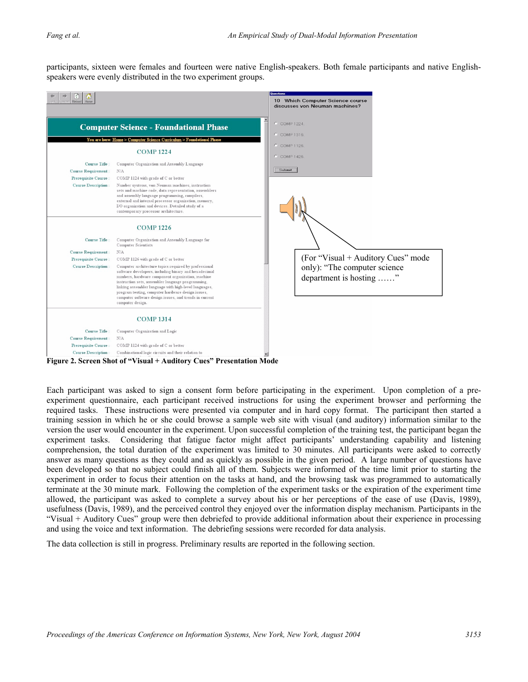participants, sixteen were females and fourteen were native English-speakers. Both female participants and native Englishspeakers were evenly distributed in the two experiment groups.



Each participant was asked to sign a consent form before participating in the experiment. Upon completion of a preexperiment questionnaire, each participant received instructions for using the experiment browser and performing the required tasks. These instructions were presented via computer and in hard copy format. The participant then started a training session in which he or she could browse a sample web site with visual (and auditory) information similar to the version the user would encounter in the experiment. Upon successful completion of the training test, the participant began the experiment tasks. Considering that fatigue factor might affect participants' understanding capability and listening comprehension, the total duration of the experiment was limited to 30 minutes. All participants were asked to correctly answer as many questions as they could and as quickly as possible in the given period. A large number of questions have been developed so that no subject could finish all of them. Subjects were informed of the time limit prior to starting the experiment in order to focus their attention on the tasks at hand, and the browsing task was programmed to automatically terminate at the 30 minute mark. Following the completion of the experiment tasks or the expiration of the experiment time allowed, the participant was asked to complete a survey about his or her perceptions of the ease of use (Davis, 1989), usefulness (Davis, 1989), and the perceived control they enjoyed over the information display mechanism. Participants in the "Visual + Auditory Cues" group were then debriefed to provide additional information about their experience in processing and using the voice and text information. The debriefing sessions were recorded for data analysis.

The data collection is still in progress. Preliminary results are reported in the following section.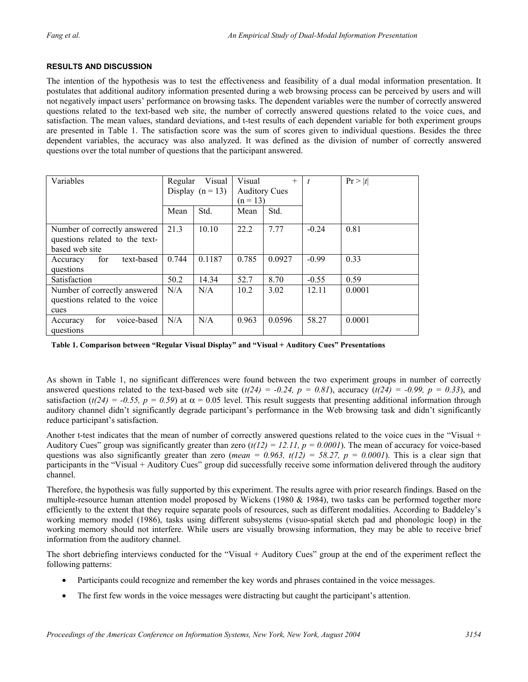#### **RESULTS AND DISCUSSION**

The intention of the hypothesis was to test the effectiveness and feasibility of a dual modal information presentation. It postulates that additional auditory information presented during a web browsing process can be perceived by users and will not negatively impact users' performance on browsing tasks. The dependent variables were the number of correctly answered questions related to the text-based web site, the number of correctly answered questions related to the voice cues, and satisfaction. The mean values, standard deviations, and t-test results of each dependent variable for both experiment groups are presented in Table 1. The satisfaction score was the sum of scores given to individual questions. Besides the three dependent variables, the accuracy was also analyzed. It was defined as the division of number of correctly answered questions over the total number of questions that the participant answered.

| Variables                                                                        | Visual<br>Regular<br>Display $(n = 13)$ |        | Visual<br>$^{+}$<br><b>Auditory Cues</b> |        |         | Pr >  t |
|----------------------------------------------------------------------------------|-----------------------------------------|--------|------------------------------------------|--------|---------|---------|
|                                                                                  |                                         |        | $(n = 13)$                               |        |         |         |
|                                                                                  | Mean                                    | Std.   | Mean                                     | Std.   |         |         |
| Number of correctly answered<br>questions related to the text-<br>based web site | 21.3                                    | 10.10  | 22.2                                     | 7.77   | $-0.24$ | 0.81    |
| text-based<br>for<br>Accuracy<br>questions                                       | 0.744                                   | 0.1187 | 0.785                                    | 0.0927 | $-0.99$ | 0.33    |
| Satisfaction                                                                     | 50.2                                    | 14.34  | 52.7                                     | 8.70   | $-0.55$ | 0.59    |
| Number of correctly answered<br>questions related to the voice<br>cues           | N/A                                     | N/A    | 10.2                                     | 3.02   | 12.11   | 0.0001  |
| for<br>voice-based<br>Accuracy<br>questions                                      | N/A                                     | N/A    | 0.963                                    | 0.0596 | 58.27   | 0.0001  |

**Table 1. Comparison between "Regular Visual Display" and "Visual + Auditory Cues" Presentations** 

As shown in Table 1, no significant differences were found between the two experiment groups in number of correctly answered questions related to the text-based web site  $(t(24) = -0.24, p = 0.81)$ , accuracy  $(t(24) = -0.99, p = 0.33)$ , and satisfaction  $(t/24) = -0.55$ ,  $p = 0.59$ ) at  $\alpha = 0.05$  level. This result suggests that presenting additional information through auditory channel didn't significantly degrade participant's performance in the Web browsing task and didn't significantly reduce participant's satisfaction.

Another t-test indicates that the mean of number of correctly answered questions related to the voice cues in the "Visual + Auditory Cues" group was significantly greater than zero  $(t/12) = 12.11$ ,  $p = 0.0001$ ). The mean of accuracy for voice-based questions was also significantly greater than zero (*mean = 0.963, t*( $12$ ) = 58.27,  $p = 0.0001$ ). This is a clear sign that participants in the "Visual + Auditory Cues" group did successfully receive some information delivered through the auditory channel.

Therefore, the hypothesis was fully supported by this experiment. The results agree with prior research findings. Based on the multiple-resource human attention model proposed by Wickens (1980  $&$  1984), two tasks can be performed together more efficiently to the extent that they require separate pools of resources, such as different modalities. According to Baddeley's working memory model (1986), tasks using different subsystems (visuo-spatial sketch pad and phonologic loop) in the working memory should not interfere. While users are visually browsing information, they may be able to receive brief information from the auditory channel.

The short debriefing interviews conducted for the "Visual + Auditory Cues" group at the end of the experiment reflect the following patterns:

- Participants could recognize and remember the key words and phrases contained in the voice messages.
- The first few words in the voice messages were distracting but caught the participant's attention.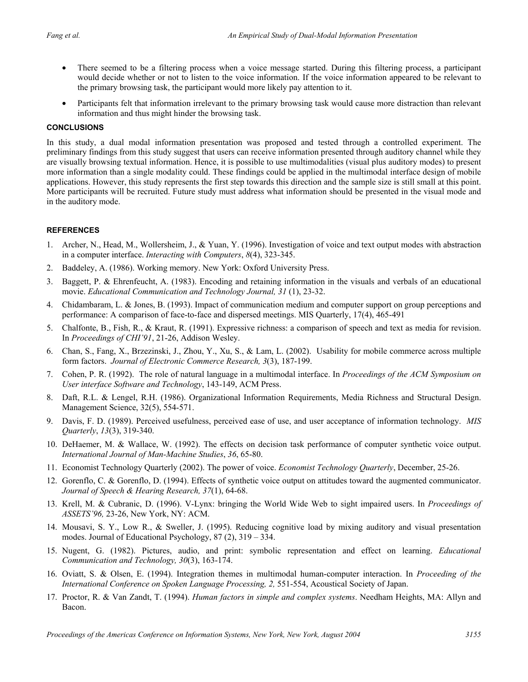- There seemed to be a filtering process when a voice message started. During this filtering process, a participant would decide whether or not to listen to the voice information. If the voice information appeared to be relevant to the primary browsing task, the participant would more likely pay attention to it.
- Participants felt that information irrelevant to the primary browsing task would cause more distraction than relevant information and thus might hinder the browsing task.

#### **CONCLUSIONS**

In this study, a dual modal information presentation was proposed and tested through a controlled experiment. The preliminary findings from this study suggest that users can receive information presented through auditory channel while they are visually browsing textual information. Hence, it is possible to use multimodalities (visual plus auditory modes) to present more information than a single modality could. These findings could be applied in the multimodal interface design of mobile applications. However, this study represents the first step towards this direction and the sample size is still small at this point. More participants will be recruited. Future study must address what information should be presented in the visual mode and in the auditory mode.

#### **REFERENCES**

- 1. Archer, N., Head, M., Wollersheim, J., & Yuan, Y. (1996). Investigation of voice and text output modes with abstraction in a computer interface. *Interacting with Computers*, *8*(4), 323-345.
- 2. Baddeley, A. (1986). Working memory. New York: Oxford University Press.
- 3. Baggett, P. & Ehrenfeucht, A. (1983). Encoding and retaining information in the visuals and verbals of an educational movie. *Educational Communication and Technology Journal, 31* (1), 23-32.
- 4. Chidambaram, L. & Jones, B. (1993). Impact of communication medium and computer support on group perceptions and performance: A comparison of face-to-face and dispersed meetings. MIS Quarterly, 17(4), 465-491
- 5. Chalfonte, B., Fish, R., & Kraut, R. (1991). Expressive richness: a comparison of speech and text as media for revision. In *Proceedings of CHI'91*, 21-26, Addison Wesley.
- 6. Chan, S., Fang, X., Brzezinski, J., Zhou, Y., Xu, S., & Lam, L. (2002). Usability for mobile commerce across multiple form factors. *Journal of Electronic Commerce Research, 3*(3), 187-199.
- 7. Cohen, P. R. (1992). The role of natural language in a multimodal interface. In *Proceedings of the ACM Symposium on User interface Software and Technology*, 143-149, ACM Press.
- 8. Daft, R.L. & Lengel, R.H. (1986). Organizational Information Requirements, Media Richness and Structural Design. Management Science, 32(5), 554-571.
- 9. Davis, F. D. (1989). Perceived usefulness, perceived ease of use, and user acceptance of information technology. *MIS Quarterly*, *13*(3), 319-340.
- 10. DeHaemer, M. & Wallace, W. (1992). The effects on decision task performance of computer synthetic voice output. *International Journal of Man-Machine Studies*, *36*, 65-80.
- 11. Economist Technology Quarterly (2002). The power of voice. *Economist Technology Quarterly*, December, 25-26.
- 12. Gorenflo, C. & Gorenflo, D. (1994). Effects of synthetic voice output on attitudes toward the augmented communicator. *Journal of Speech & Hearing Research, 37*(1), 64-68.
- 13. Krell, M. & Cubranic, D. (1996). V-Lynx: bringing the World Wide Web to sight impaired users. In *Proceedings of ASSETS'96,* 23-26, New York, NY: ACM.
- 14. Mousavi, S. Y., Low R., & Sweller, J. (1995). Reducing cognitive load by mixing auditory and visual presentation modes. Journal of Educational Psychology, 87 (2), 319 – 334.
- 15. Nugent, G. (1982). Pictures, audio, and print: symbolic representation and effect on learning. *Educational Communication and Technology, 30*(3), 163-174.
- 16. Oviatt, S. & Olsen, E. (1994). Integration themes in multimodal human-computer interaction. In *Proceeding of the International Conference on Spoken Language Processing, 2,* 551-554, Acoustical Society of Japan.
- 17. Proctor, R. & Van Zandt, T. (1994). *Human factors in simple and complex systems*. Needham Heights, MA: Allyn and Bacon.